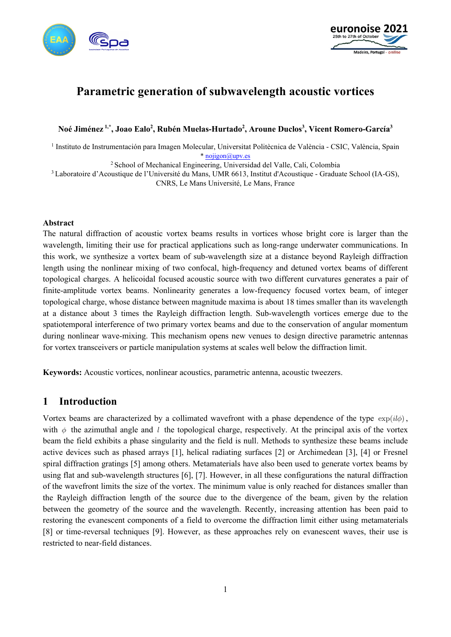



# **Parametric generation of subwavelength acoustic vortices**

#### **Noé Jiménez 1,\*, Joao Ealo2 , Rubén Muelas-Hurtado2 , Aroune Duclos3 , Vicent Romero-García3**

<sup>1</sup> Instituto de Instrumentación para Imagen Molecular, Universitat Politècnica de València - CSIC, València, Spain [\\* nojigon@upv.es](mailto:nojigon@upv.es)

<sup>2</sup> School of Mechanical Engineering, Universidad del Valle, Cali, Colombia

<sup>3</sup> Laboratoire d'Acoustique de l'Université du Mans, UMR 6613, Institut d'Acoustique - Graduate School (IA-GS), CNRS, Le Mans Université, Le Mans, France

#### **Abstract**

The natural diffraction of acoustic vortex beams results in vortices whose bright core is larger than the wavelength, limiting their use for practical applications such as long-range underwater communications. In this work, we synthesize a vortex beam of sub-wavelength size at a distance beyond Rayleigh diffraction length using the nonlinear mixing of two confocal, high-frequency and detuned vortex beams of different topological charges. A helicoidal focused acoustic source with two different curvatures generates a pair of finite-amplitude vortex beams. Nonlinearity generates a low-frequency focused vortex beam, of integer topological charge, whose distance between magnitude maxima is about 18 times smaller than its wavelength at a distance about 3 times the Rayleigh diffraction length. Sub-wavelength vortices emerge due to the spatiotemporal interference of two primary vortex beams and due to the conservation of angular momentum during nonlinear wave-mixing. This mechanism opens new venues to design directive parametric antennas for vortex transceivers or particle manipulation systems at scales well below the diffraction limit.

**Keywords:** Acoustic vortices, nonlinear acoustics, parametric antenna, acoustic tweezers.

#### **1 Introduction**

Vortex beams are characterized by a collimated wavefront with a phase dependence of the type  $\exp(il\phi)$ . with  $\phi$  the azimuthal angle and *l* the topological charge, respectively. At the principal axis of the vortex beam the field exhibits a phase singularity and the field is null. Methods to synthesize these beams include active devices such as phased arrays [1], helical radiating surfaces [2] or Archimedean [3], [4] or Fresnel spiral diffraction gratings [5] among others. Metamaterials have also been used to generate vortex beams by using flat and sub-wavelength structures [6], [7]. However, in all these configurations the natural diffraction of the wavefront limits the size of the vortex. The minimum value is only reached for distances smaller than the Rayleigh diffraction length of the source due to the divergence of the beam, given by the relation between the geometry of the source and the wavelength. Recently, increasing attention has been paid to restoring the evanescent components of a field to overcome the diffraction limit either using metamaterials [8] or time-reversal techniques [9]. However, as these approaches rely on evanescent waves, their use is restricted to near-field distances.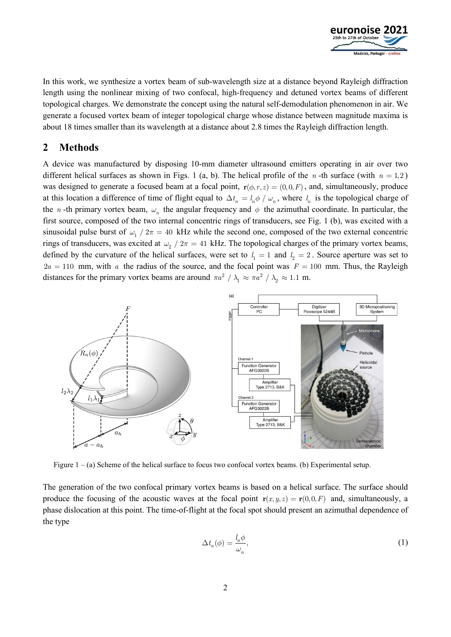

In this work, we synthesize a vortex beam of sub-wavelength size at a distance beyond Rayleigh diffraction length using the nonlinear mixing of two confocal, high-frequency and detuned vortex beams of different topological charges. We demonstrate the concept using the natural self-demodulation phenomenon in air. We generate a focused vortex beam of integer topological charge whose distance between magnitude maxima is about 18 times smaller than its wavelength at a distance about 2.8 times the Rayleigh diffraction length.

# **2 Methods**

A device was manufactured by disposing 10-mm diameter ultrasound emitters operating in air over two different helical surfaces as shown in Figs. 1 (a, b). The helical profile of the *n*-th surface (with  $n = 1,2$ ) was designed to generate a focused beam at a focal point,  $\mathbf{r}(\phi, r, z) = (0, 0, F)$ , and, simultaneously, produce at this location a difference of time of flight equal to  $\Delta t_n = l_n \phi / \omega_n$ , where  $l_n$  is the topological charge of the *n* -th primary vortex beam,  $\omega_n$  the angular frequency and  $\phi$  the azimuthal coordinate. In particular, the first source, composed of the two internal concentric rings of transducers, see Fig. 1 (b), was excited with a sinusoidal pulse burst of  $\omega_1 / 2\pi = 40$  kHz while the second one, composed of the two external concentric rings of transducers, was excited at  $\omega_2$  /  $2\pi$  = 41 kHz. The topological charges of the primary vortex beams, defined by the curvature of the helical surfaces, were set to  $l_1 = 1$  and  $l_2 = 2$ . Source aperture was set to  $2a = 110$  mm, with *a* the radius of the source, and the focal point was  $F = 100$  mm. Thus, the Rayleigh distances for the primary vortex beams are around  $\pi a^2 / \lambda_1 \approx \pi a^2 / \lambda_2 \approx 1.1$  m.



Figure 1 – (a) Scheme of the helical surface to focus two confocal vortex beams. (b) Experimental setup.

The generation of the two confocal primary vortex beams is based on a helical surface. The surface should produce the focusing of the acoustic waves at the focal point  $\mathbf{r}(x, y, z) = \mathbf{r}(0, 0, F)$  and, simultaneously, a phase dislocation at this point. The time-of-flight at the focal spot should present an azimuthal dependence of the type

$$
\Delta t_n(\phi) = \frac{l_n \phi}{\omega_n},\tag{1}
$$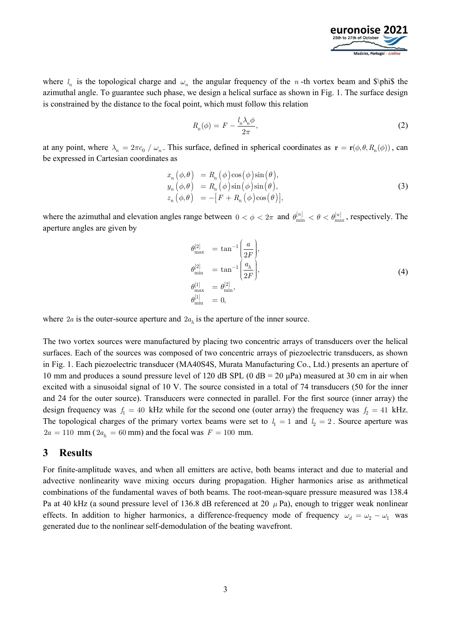

where  $l_n$  is the topological charge and  $\omega_n$  the angular frequency of the *n*-th vortex beam and \$\phi\$ the azimuthal angle. To guarantee such phase, we design a helical surface as shown in Fig. 1. The surface design is constrained by the distance to the focal point, which must follow this relation

$$
R_n(\phi) = F - \frac{l_n \lambda_n \phi}{2\pi},\tag{2}
$$

at any point, where  $\lambda_n = 2\pi c_0 / \omega_n$ . This surface, defined in spherical coordinates as  $\mathbf{r} = \mathbf{r}(\phi, \theta, R_n(\phi))$ , can be expressed in Cartesian coordinates as

$$
x_n (\phi, \theta) = R_n (\phi) \cos(\phi) \sin(\theta),
$$
  
\n
$$
y_n (\phi, \theta) = R_n (\phi) \sin(\phi) \sin(\theta),
$$
  
\n
$$
z_n (\phi, \theta) = -[F + R_n (\phi) \cos(\theta)],
$$
\n(3)

where the azimuthal and elevation angles range between  $0 < \phi < 2\pi$  and  $\theta_{\min}^{[n]} < \theta < \theta_{\max}^{[n]}$ , respectively. The aperture angles are given by

$$
\begin{aligned}\n\theta_{\text{max}}^{[2]} &= \tan^{-1} \left( \frac{a}{2F} \right), \\
\theta_{\text{min}}^{[2]} &= \tan^{-1} \left( \frac{a_h}{2F} \right), \\
\theta_{\text{max}}^{[1]} &= \theta_{\text{min}}^{[2]}, \\
\theta_{\text{min}}^{[1]} &= 0,\n\end{aligned}
$$
\n(4)

where  $2a$  is the outer-source aperture and  $2a<sub>h</sub>$  is the aperture of the inner source.

The two vortex sources were manufactured by placing two concentric arrays of transducers over the helical surfaces. Each of the sources was composed of two concentric arrays of piezoelectric transducers, as shown in Fig. 1. Each piezoelectric transducer (MA40S4S, Murata Manufacturing Co., Ltd.) presents an aperture of 10 mm and produces a sound pressure level of 120 dB SPL (0 dB =  $20 \mu Pa$ ) measured at 30 cm in air when excited with a sinusoidal signal of 10 V. The source consisted in a total of 74 transducers (50 for the inner and 24 for the outer source). Transducers were connected in parallel. For the first source (inner array) the design frequency was  $f_1 = 40$  kHz while for the second one (outer array) the frequency was  $f_2 = 41$  kHz. The topological charges of the primary vortex beams were set to  $l_1 = 1$  and  $l_2 = 2$ . Source aperture was  $2a = 110$  mm ( $2a_h = 60$  mm) and the focal was  $F = 100$  mm.

#### **3 Results**

For finite-amplitude waves, and when all emitters are active, both beams interact and due to material and advective nonlinearity wave mixing occurs during propagation. Higher harmonics arise as arithmetical combinations of the fundamental waves of both beams. The root-mean-square pressure measured was 138.4 Pa at 40 kHz (a sound pressure level of 136.8 dB referenced at 20  $\mu$  Pa), enough to trigger weak nonlinear effects. In addition to higher harmonics, a difference-frequency mode of frequency  $\omega_d = \omega_2 - \omega_1$  was generated due to the nonlinear self-demodulation of the beating wavefront.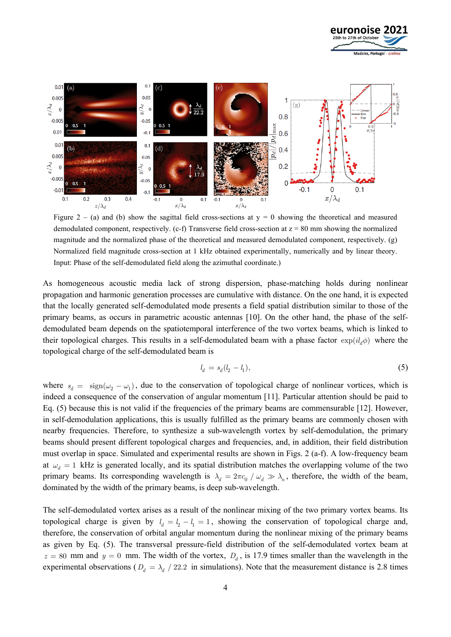



Figure 2 – (a) and (b) show the sagittal field cross-sections at  $y = 0$  showing the theoretical and measured demodulated component, respectively. (c-f) Transverse field cross-section at  $z = 80$  mm showing the normalized magnitude and the normalized phase of the theoretical and measured demodulated component, respectively. (g) Normalized field magnitude cross-section at 1 kHz obtained experimentally, numerically and by linear theory. Input: Phase of the self-demodulated field along the azimuthal coordinate.)

As homogeneous acoustic media lack of strong dispersion, phase-matching holds during nonlinear propagation and harmonic generation processes are cumulative with distance. On the one hand, it is expected that the locally generated self-demodulated mode presents a field spatial distribution similar to those of the primary beams, as occurs in parametric acoustic antennas [10]. On the other hand, the phase of the selfdemodulated beam depends on the spatiotemporal interference of the two vortex beams, which is linked to their topological charges. This results in a self-demodulated beam with a phase factor  $\exp(i l_a \phi)$  where the topological charge of the self-demodulated beam is

$$
l_d = s_d(l_2 - l_1),
$$
\n(5)

where  $s_d = \text{sign}(\omega_2 - \omega_1)$ , due to the conservation of topological charge of nonlinear vortices, which is indeed a consequence of the conservation of angular momentum [11]. Particular attention should be paid to Eq. (5) because this is not valid if the frequencies of the primary beams are commensurable [12]. However, in self-demodulation applications, this is usually fulfilled as the primary beams are commonly chosen with nearby frequencies. Therefore, to synthesize a sub-wavelength vortex by self-demodulation, the primary beams should present different topological charges and frequencies, and, in addition, their field distribution must overlap in space. Simulated and experimental results are shown in Figs. 2 (a-f). A low-frequency beam at  $\omega_d = 1$  kHz is generated locally, and its spatial distribution matches the overlapping volume of the two primary beams. Its corresponding wavelength is  $\lambda_d = 2\pi c_0 / \omega_d \gg \lambda_n$ , therefore, the width of the beam, dominated by the width of the primary beams, is deep sub-wavelength.

The self-demodulated vortex arises as a result of the nonlinear mixing of the two primary vortex beams. Its topological charge is given by  $l_d = l_2 - l_1 = 1$ , showing the conservation of topological charge and, therefore, the conservation of orbital angular momentum during the nonlinear mixing of the primary beams as given by Eq. (5). The transversal pressure-field distribution of the self-demodulated vortex beam at  $z = 80$  mm and  $y = 0$  mm. The width of the vortex,  $D_d$ , is 17.9 times smaller than the wavelength in the experimental observations ( $D_d = \lambda_d / 22.2$  in simulations). Note that the measurement distance is 2.8 times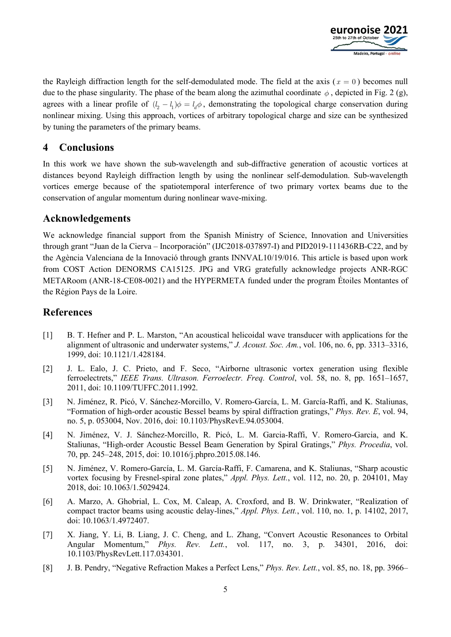

the Rayleigh diffraction length for the self-demodulated mode. The field at the axis ( $x = 0$ ) becomes null due to the phase singularity. The phase of the beam along the azimuthal coordinate  $\phi$ , depicted in Fig. 2 (g), agrees with a linear profile of  $(l_2 - l_1) \phi = l_d \phi$ , demonstrating the topological charge conservation during nonlinear mixing. Using this approach, vortices of arbitrary topological charge and size can be synthesized by tuning the parameters of the primary beams.

### **4 Conclusions**

In this work we have shown the sub-wavelength and sub-diffractive generation of acoustic vortices at distances beyond Rayleigh diffraction length by using the nonlinear self-demodulation. Sub-wavelength vortices emerge because of the spatiotemporal interference of two primary vortex beams due to the conservation of angular momentum during nonlinear wave-mixing.

## **Acknowledgements**

We acknowledge financial support from the Spanish Ministry of Science, Innovation and Universities through grant "Juan de la Cierva – Incorporación" (IJC2018-037897-I) and PID2019-111436RB-C22, and by the Agència Valenciana de la Innovació through grants INNVAL10/19/016. This article is based upon work from COST Action DENORMS CA15125. JPG and VRG gratefully acknowledge projects ANR-RGC METARoom (ANR-18-CE08-0021) and the HYPERMETA funded under the program Étoiles Montantes of the Région Pays de la Loire.

# **References**

- [1] B. T. Hefner and P. L. Marston, "An acoustical helicoidal wave transducer with applications for the alignment of ultrasonic and underwater systems," *J. Acoust. Soc. Am.*, vol. 106, no. 6, pp. 3313–3316, 1999, doi: 10.1121/1.428184.
- [2] J. L. Ealo, J. C. Prieto, and F. Seco, "Airborne ultrasonic vortex generation using flexible ferroelectrets," *IEEE Trans. Ultrason. Ferroelectr. Freq. Control*, vol. 58, no. 8, pp. 1651–1657, 2011, doi: 10.1109/TUFFC.2011.1992.
- [3] N. Jiménez, R. Picó, V. Sánchez-Morcillo, V. Romero-García, L. M. García-Raffi, and K. Staliunas, "Formation of high-order acoustic Bessel beams by spiral diffraction gratings," *Phys. Rev. E*, vol. 94, no. 5, p. 053004, Nov. 2016, doi: 10.1103/PhysRevE.94.053004.
- [4] N. Jiménez, V. J. Sánchez-Morcillo, R. Picó, L. M. Garcia-Raffi, V. Romero-Garcia, and K. Staliunas, "High-order Acoustic Bessel Beam Generation by Spiral Gratings," *Phys. Procedia*, vol. 70, pp. 245–248, 2015, doi: 10.1016/j.phpro.2015.08.146.
- [5] N. Jiménez, V. Romero-García, L. M. García-Raffi, F. Camarena, and K. Staliunas, "Sharp acoustic vortex focusing by Fresnel-spiral zone plates," *Appl. Phys. Lett.*, vol. 112, no. 20, p. 204101, May 2018, doi: 10.1063/1.5029424.
- [6] A. Marzo, A. Ghobrial, L. Cox, M. Caleap, A. Croxford, and B. W. Drinkwater, "Realization of compact tractor beams using acoustic delay-lines," *Appl. Phys. Lett.*, vol. 110, no. 1, p. 14102, 2017, doi: 10.1063/1.4972407.
- [7] X. Jiang, Y. Li, B. Liang, J. C. Cheng, and L. Zhang, "Convert Acoustic Resonances to Orbital Angular Momentum," *Phys. Rev. Lett.*, vol. 117, no. 3, p. 34301, 2016, doi: 10.1103/PhysRevLett.117.034301.
- [8] J. B. Pendry, "Negative Refraction Makes a Perfect Lens," *Phys. Rev. Lett.*, vol. 85, no. 18, pp. 3966–